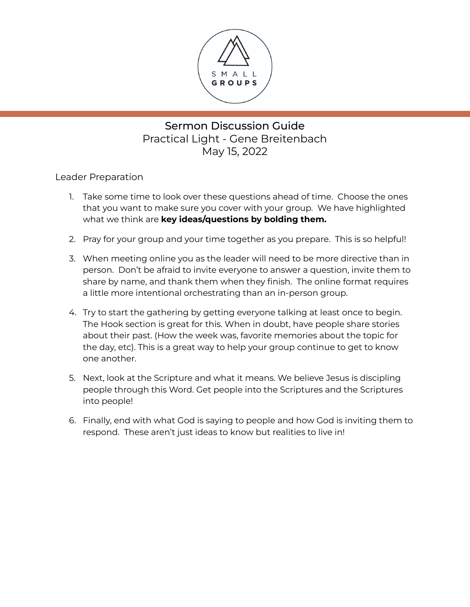

# Sermon Discussion Guide Practical Light - Gene Breitenbach May 15, 2022

Leader Preparation

- 1. Take some time to look over these questions ahead of time. Choose the ones that you want to make sure you cover with your group. We have highlighted what we think are **key ideas/questions by bolding them.**
- 2. Pray for your group and your time together as you prepare. This is so helpful!
- 3. When meeting online you as the leader will need to be more directive than in person. Don't be afraid to invite everyone to answer a question, invite them to share by name, and thank them when they finish. The online format requires a little more intentional orchestrating than an in-person group.
- 4. Try to start the gathering by getting everyone talking at least once to begin. The Hook section is great for this. When in doubt, have people share stories about their past. (How the week was, favorite memories about the topic for the day, etc). This is a great way to help your group continue to get to know one another.
- 5. Next, look at the Scripture and what it means. We believe Jesus is discipling people through this Word. Get people into the Scriptures and the Scriptures into people!
- 6. Finally, end with what God is saying to people and how God is inviting them to respond. These aren't just ideas to know but realities to live in!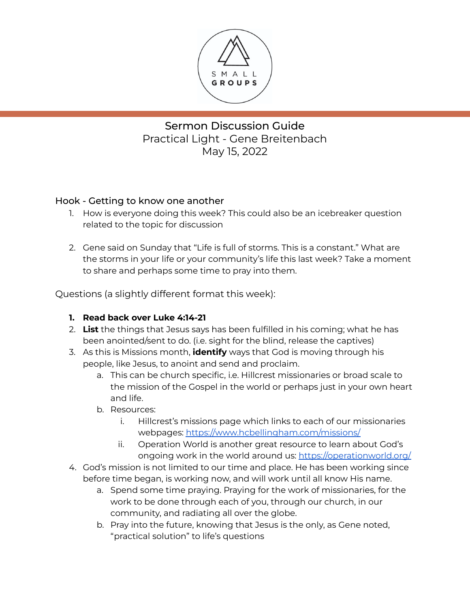

# Sermon Discussion Guide Practical Light - Gene Breitenbach May 15, 2022

### Hook - Getting to know one another

- 1. How is everyone doing this week? This could also be an icebreaker question related to the topic for discussion
- 2. Gene said on Sunday that "Life is full of storms. This is a constant." What are the storms in your life or your community's life this last week? Take a moment to share and perhaps some time to pray into them.

Questions (a slightly different format this week):

#### **1. Read back over Luke 4:14-21**

- 2. **List** the things that Jesus says has been fulfilled in his coming; what he has been anointed/sent to do. (i.e. sight for the blind, release the captives)
- 3. As this is Missions month, **identify** ways that God is moving through his people, like Jesus, to anoint and send and proclaim.
	- a. This can be church specific, i.e. Hillcrest missionaries or broad scale to the mission of the Gospel in the world or perhaps just in your own heart and life.
	- b. Resources:
		- i. Hillcrest's missions page which links to each of our missionaries webpages: <https://www.hcbellingham.com/missions/>
		- ii. Operation World is another great resource to learn about God's ongoing work in the world around us: <https://operationworld.org/>
- 4. God's mission is not limited to our time and place. He has been working since before time began, is working now, and will work until all know His name.
	- a. Spend some time praying. Praying for the work of missionaries, for the work to be done through each of you, through our church, in our community, and radiating all over the globe.
	- b. Pray into the future, knowing that Jesus is the only, as Gene noted, "practical solution" to life's questions